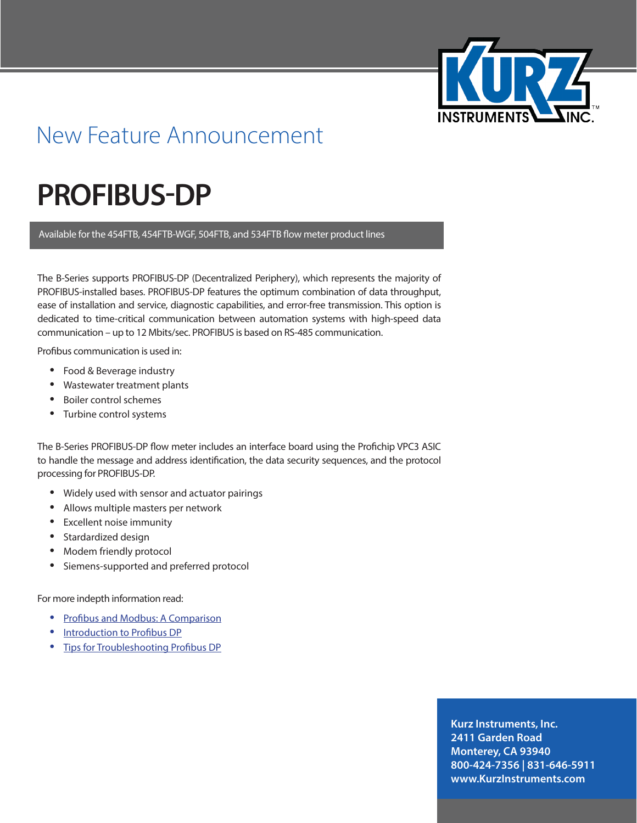

## New Feature Announcement

## **PROFIBUS-DP**

Available for the 454FTB, 454FTB-WGF, 504FTB, and 534FTB flow meter product lines

The B-Series supports PROFIBUS-DP (Decentralized Periphery), which represents the majority of PROFIBUS-installed bases. PROFIBUS-DP features the optimum combination of data throughput, ease of installation and service, diagnostic capabilities, and error-free transmission. This option is dedicated to time-critical communication between automation systems with high-speed data communication – up to 12 Mbits/sec. PROFIBUS is based on RS-485 communication.

Profibus communication is used in:

- **•**  Food & Beverage industry
- **Wastewater treatment plants**
- **Boiler control schemes**
- Turbine control systems

The B-Series PROFIBUS-DP flow meter includes an interface board using the Profichip VPC3 ASIC to handle the message and address identification, the data security sequences, and the protocol processing for PROFIBUS-DP.

- **•**  Widely used with sensor and actuator pairings
- **•**  Allows multiple masters per network
- **•**  Excellent noise immunity
- **•**  Stardardized design
- **•**  Modem friendly protocol
- Siemens-supported and preferred protocol

For more indepth information read:

- **[Profibus and Modbus: A Comparison](http://www.industry.siemens.com/datapool/industry/automation/Tech-Art/2013/FAV-105-2013-IA-SC/FAV-105-2013-IA-SC-V01_EN.pdf)**
- **•**  [Introduction to Profibus DP](http://www.automation.com/library/articles-white-papers/fieldbus-serial-bus-io-networks/introduction-to-profibus-dp)
- **[Tips for Troubleshooting Profibus DP](http://www.smar.com/en/technical-article/tips-for-trouble-shooting-on-the-profibus-dp)**

**Kurz Instruments, Inc. 2411 Garden Road Monterey, CA 93940 800-424-7356 | 831-646-5911 www.KurzInstruments.com**